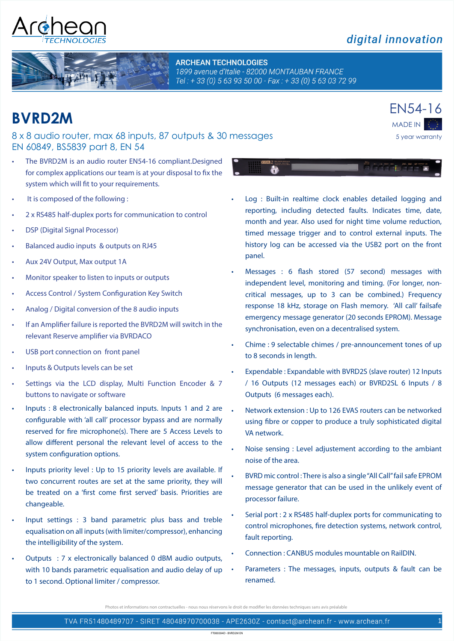## digital innovation

**ARCHEAN TECHNOLOGIES** 1899 avenue d'Italie - 82000 MONTAUBAN FRANCE Tel: +33 (0) 563 93 50 00 - Fax: +33 (0) 563 03 72 99

## **BVRD2M**

### 8 x 8 audio router, max 68 inputs, 87 outputs & 30 messages EN 60849, BS5839 part 8, EN 54

- The BVRD2M is an audio router EN54-16 compliant.Designed for complex applications our team is at your disposal to fix the system which will fit to your requirements.
- It is composed of the following:
- 2 x RS485 half-duplex ports for communication to control
- **DSP** (Digital Signal Processor)
- Balanced audio inputs & outputs on RJ45
- Aux 24V Output, Max output 1A
- Monitor speaker to listen to inputs or outputs
- Access Control / System Configuration Key Switch
- Analog / Digital conversion of the 8 audio inputs
- If an Amplifier failure is reported the BVRD2M will switch in the relevant Reserve amplifier via BVRDACO
- USB port connection on front panel
- Inputs & Outputs levels can be set
- Settings via the LCD display, Multi Function Encoder & 7 buttons to navigate or software
- Inputs : 8 electronically balanced inputs. Inputs 1 and 2 are configurable with 'all call' processor bypass and are normally reserved for fire microphone(s). There are 5 Access Levels to allow different personal the relevant level of access to the system configuration options.
- Inputs priority level : Up to 15 priority levels are available. If two concurrent routes are set at the same priority, they will be treated on a 'first come first served' basis. Priorities are changeable.
- Input settings  $: 3$  band parametric plus bass and treble equalisation on all inputs (with limiter/compressor), enhancing the intelligibility of the system.
- Outputs : 7  $x$  electronically balanced 0 dBM audio outputs, with 10 bands parametric equalisation and audio delay of up to 1 second. Optional limiter / compressor.
- Log : Built-in realtime clock enables detailed logging and reporting, including detected faults. Indicates time, date, month and year. Also used for night time volume reduction, timed message trigger and to control external inputs. The history log can be accessed via the USB2 port on the front panel.
- Messages : 6 flash stored (57 second) messages with independent level, monitoring and timing. (For longer, noncritical messages, up to 3 can be combined.) Frequency response 18 kHz, storage on Flash memory. 'All call' failsafe emergency message generator (20 seconds EPROM). Message synchronisation, even on a decentralised system.
- Chime : 9 selectable chimes / pre-announcement tones of up to 8 seconds in length.
- Expendable : Expandable with BVRD2S (slave router) 12 Inputs / 16 Outputs (12 messages each) or BVRD2SL 6 Inputs / 8 Outputs (6 messages each).
- Network extension : Up to 126 EVAS routers can be networked using fibre or copper to produce a truly sophisticated digital VA network.
- Noise sensing : Level adjustement according to the ambiant noise of the area.
- BVRD mic control: There is also a single "All Call" fail safe EPROM message generator that can be used in the unlikely event of processor failure.
- Serial port : 2 x RS485 half-duplex ports for communicating to control microphones, fire detection systems, network control, fault reporting.
- Connection : CANBUS modules mountable on RailDIN.
- • Parameters : The messages, inputs, outputs & fault can be renamed.

non contractuelles - nous nous réservons le droit de modifier les données techniques sans avis préalable